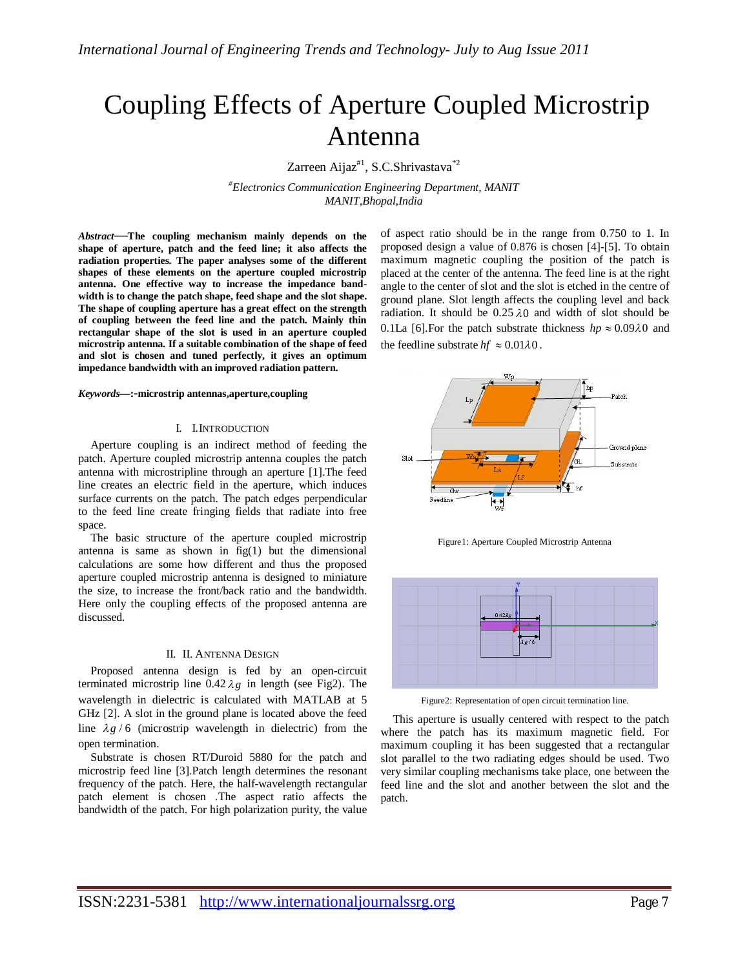# Coupling Effects of Aperture Coupled Microstrip Antenna

Zarreen Aijaz<sup>#1</sup>, S.C.Shrivastava<sup>\*2</sup>

*#Electronics Communication Engineering Department, MANIT MANIT,Bhopal,India*

*Abstract*—**The coupling mechanism mainly depends on the shape of aperture, patch and the feed line; it also affects the radiation properties. The paper analyses some of the different shapes of these elements on the aperture coupled microstrip antenna. One effective way to increase the impedance bandwidth is to change the patch shape, feed shape and the slot shape. The shape of coupling aperture has a great effect on the strength of coupling between the feed line and the patch. Mainly thin rectangular shape of the slot is used in an aperture coupled microstrip antenna. If a suitable combination of the shape of feed and slot is chosen and tuned perfectly, it gives an optimum impedance bandwidth with an improved radiation pattern.**

#### *Keywords***—:***-***microstrip antennas,aperture,coupling**

## I. I.INTRODUCTION

Aperture coupling is an indirect method of feeding the patch. Aperture coupled microstrip antenna couples the patch antenna with microstripline through an aperture [1].The feed line creates an electric field in the aperture, which induces surface currents on the patch. The patch edges perpendicular to the feed line create fringing fields that radiate into free space.

The basic structure of the aperture coupled microstrip antenna is same as shown in  $fig(1)$  but the dimensional calculations are some how different and thus the proposed aperture coupled microstrip antenna is designed to miniature the size, to increase the front/back ratio and the bandwidth. Here only the coupling effects of the proposed antenna are discussed.

## II. II. ANTENNA DESIGN

Proposed antenna design is fed by an open-circuit terminated microstrip line  $0.42 \lambda g$  in length (see Fig2). The wavelength in dielectric is calculated with MATLAB at 5 GHz [2]. A slot in the ground plane is located above the feed line  $\lambda g / 6$  (microstrip wavelength in dielectric) from the open termination.

Substrate is chosen RT/Duroid 5880 for the patch and microstrip feed line [3].Patch length determines the resonant frequency of the patch. Here, the half-wavelength rectangular patch element is chosen .The aspect ratio affects the bandwidth of the patch. For high polarization purity, the value

of aspect ratio should be in the range from 0.750 to 1. In proposed design a value of 0.876 is chosen [4]-[5]. To obtain maximum magnetic coupling the position of the patch is placed at the center of the antenna. The feed line is at the right angle to the center of slot and the slot is etched in the centre of ground plane. Slot length affects the coupling level and back radiation. It should be  $0.25 \lambda 0$  and width of slot should be 0.1La [6]. For the patch substrate thickness  $hp \approx 0.09\lambda 0$  and the feedline substrate  $hf \approx 0.01\lambda 0$ .



Figure1: Aperture Coupled Microstrip Antenna



Figure2: Representation of open circuit termination line.

This aperture is usually centered with respect to the patch where the patch has its maximum magnetic field. For maximum coupling it has been suggested that a rectangular slot parallel to the two radiating edges should be used. Two very similar coupling mechanisms take place, one between the feed line and the slot and another between the slot and the patch.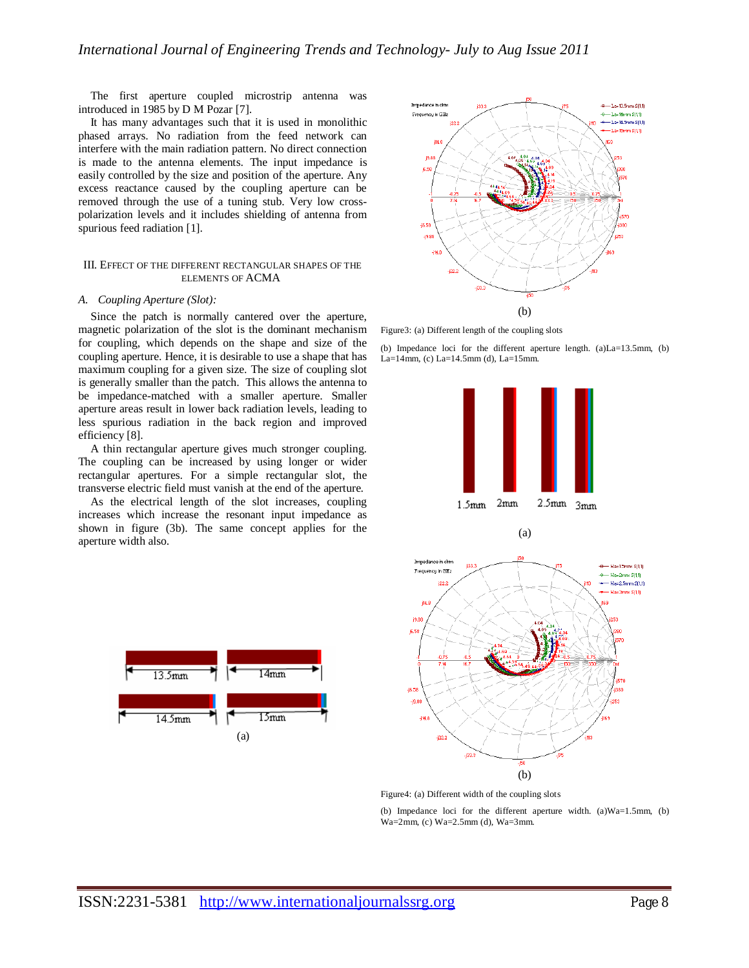The first aperture coupled microstrip antenna was introduced in 1985 by D M Pozar [7].

It has many advantages such that it is used in monolithic phased arrays. No radiation from the feed network can interfere with the main radiation pattern. No direct connection is made to the antenna elements. The input impedance is easily controlled by the size and position of the aperture. Any excess reactance caused by the coupling aperture can be removed through the use of a tuning stub. Very low crosspolarization levels and it includes shielding of antenna from spurious feed radiation [1].

## III. EFFECT OF THE DIFFERENT RECTANGULAR SHAPES OF THE ELEMENTS OF ACMA

## *A. Coupling Aperture (Slot):*

Since the patch is normally cantered over the aperture, magnetic polarization of the slot is the dominant mechanism for coupling, which depends on the shape and size of the coupling aperture. Hence, it is desirable to use a shape that has maximum coupling for a given size. The size of coupling slot is generally smaller than the patch. This allows the antenna to be impedance-matched with a smaller aperture. Smaller aperture areas result in lower back radiation levels, leading to less spurious radiation in the back region and improved efficiency [8].

A thin rectangular aperture gives much stronger coupling. The coupling can be increased by using longer or wider rectangular apertures. For a simple rectangular slot, the transverse electric field must vanish at the end of the aperture.

As the electrical length of the slot increases, coupling increases which increase the resonant input impedance as shown in figure (3b). The same concept applies for the aperture width also.





Figure3: (a) Different length of the coupling slots

(b) Impedance loci for the different aperture length. (a)La=13.5mm, (b) La=14mm, (c) La=14.5mm (d), La=15mm.



Figure4: (a) Different width of the coupling slots

(b) Impedance loci for the different aperture width. (a)Wa=1.5mm, (b) Wa=2mm, (c) Wa=2.5mm (d), Wa=3mm.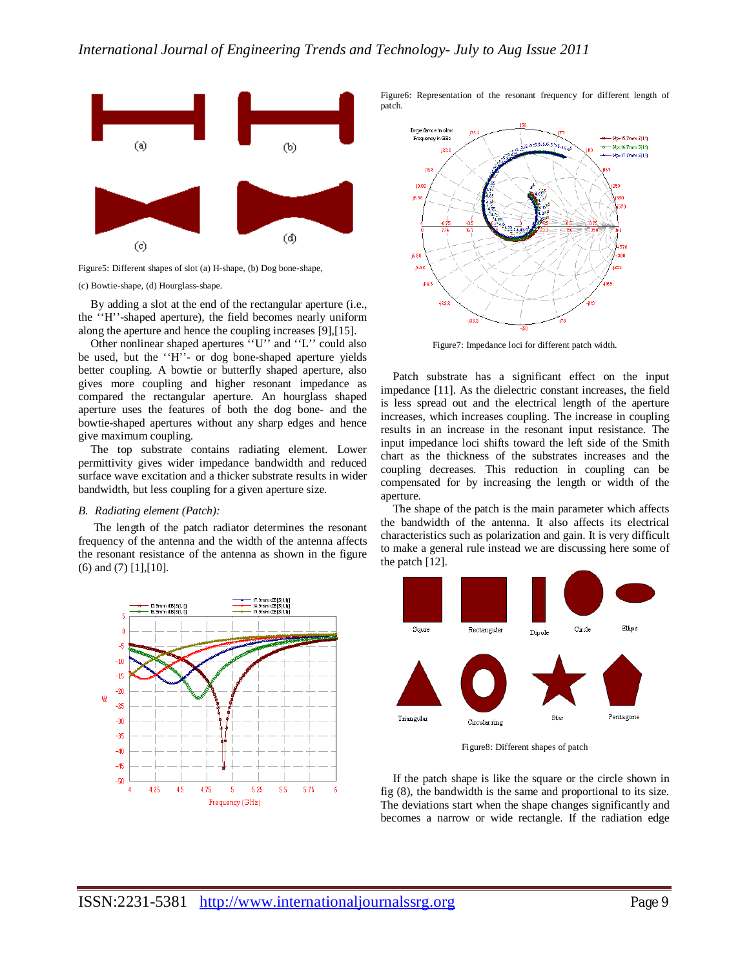

Figure5: Different shapes of slot (a) H-shape, (b) Dog bone-shape,

(c) Bowtie-shape, (d) Hourglass-shape.

By adding a slot at the end of the rectangular aperture (i.e., the ''H''-shaped aperture), the field becomes nearly uniform along the aperture and hence the coupling increases [9],[15].

Other nonlinear shaped apertures ''U'' and ''L'' could also be used, but the ''H''- or dog bone-shaped aperture yields better coupling. A bowtie or butterfly shaped aperture, also gives more coupling and higher resonant impedance as compared the rectangular aperture. An hourglass shaped aperture uses the features of both the dog bone- and the bowtie-shaped apertures without any sharp edges and hence give maximum coupling.

The top substrate contains radiating element. Lower permittivity gives wider impedance bandwidth and reduced surface wave excitation and a thicker substrate results in wider bandwidth, but less coupling for a given aperture size.

## *B. Radiating element (Patch):*

The length of the patch radiator determines the resonant frequency of the antenna and the width of the antenna affects the resonant resistance of the antenna as shown in the figure (6) and (7) [1],[10].



Figure6: Representation of the resonant frequency for different length of patch.



Figure7: Impedance loci for different patch width.

Patch substrate has a significant effect on the input impedance [11]. As the dielectric constant increases, the field is less spread out and the electrical length of the aperture increases, which increases coupling. The increase in coupling results in an increase in the resonant input resistance. The input impedance loci shifts toward the left side of the Smith chart as the thickness of the substrates increases and the coupling decreases. This reduction in coupling can be compensated for by increasing the length or width of the aperture.

The shape of the patch is the main parameter which affects the bandwidth of the antenna. It also affects its electrical characteristics such as polarization and gain. It is very difficult to make a general rule instead we are discussing here some of the patch [12].



Figure8: Different shapes of patch

If the patch shape is like the square or the circle shown in fig (8), the bandwidth is the same and proportional to its size. The deviations start when the shape changes significantly and becomes a narrow or wide rectangle. If the radiation edge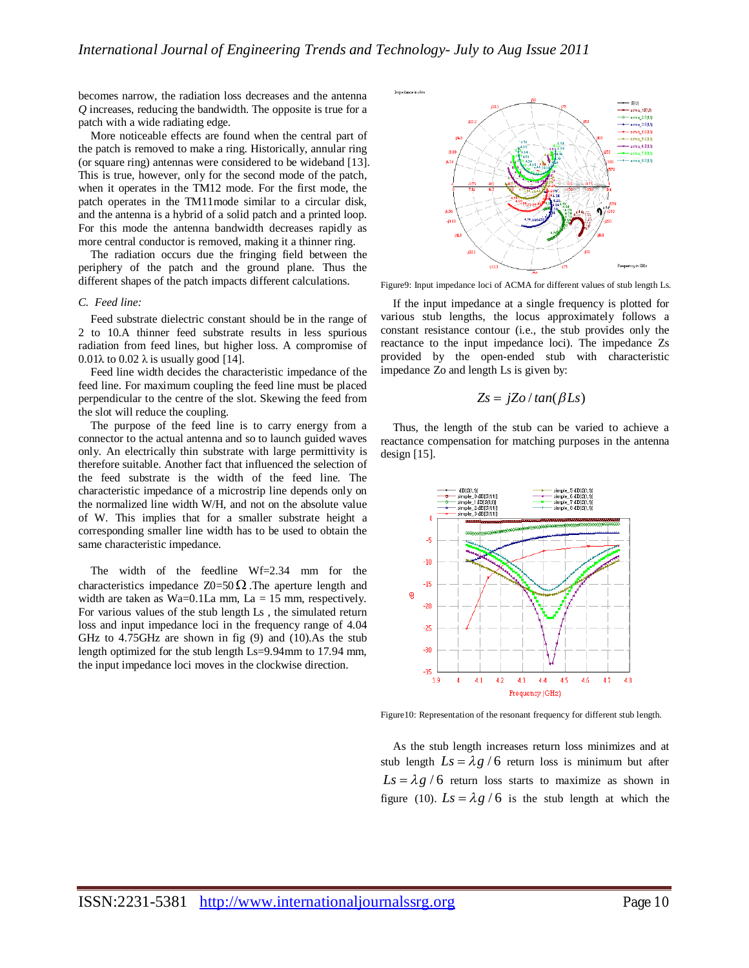becomes narrow, the radiation loss decreases and the antenna *Q* increases, reducing the bandwidth. The opposite is true for a patch with a wide radiating edge.

More noticeable effects are found when the central part of the patch is removed to make a ring. Historically, annular ring (or square ring) antennas were considered to be wideband [13]. This is true, however, only for the second mode of the patch, when it operates in the TM12 mode. For the first mode, the patch operates in the TM11mode similar to a circular disk, and the antenna is a hybrid of a solid patch and a printed loop. For this mode the antenna bandwidth decreases rapidly as more central conductor is removed, making it a thinner ring.

The radiation occurs due the fringing field between the periphery of the patch and the ground plane. Thus the different shapes of the patch impacts different calculations.

## *C. Feed line:*

Feed substrate dielectric constant should be in the range of 2 to 10.A thinner feed substrate results in less spurious radiation from feed lines, but higher loss. A compromise of 0.01 $\lambda$  to 0.02  $\lambda$  is usually good [14].

Feed line width decides the characteristic impedance of the feed line. For maximum coupling the feed line must be placed perpendicular to the centre of the slot. Skewing the feed from the slot will reduce the coupling.

The purpose of the feed line is to carry energy from a connector to the actual antenna and so to launch guided waves only. An electrically thin substrate with large permittivity is therefore suitable. Another fact that influenced the selection of the feed substrate is the width of the feed line. The characteristic impedance of a microstrip line depends only on the normalized line width W/H, and not on the absolute value of W. This implies that for a smaller substrate height a corresponding smaller line width has to be used to obtain the same characteristic impedance.

The width of the feedline Wf=2.34 mm for the characteristics impedance  $Z0=50 \Omega$ . The aperture length and width are taken as Wa=0.1La mm,  $La = 15$  mm, respectively. For various values of the stub length Ls , the simulated return loss and input impedance loci in the frequency range of 4.04 GHz to 4.75GHz are shown in fig (9) and (10).As the stub length optimized for the stub length Ls=9.94mm to 17.94 mm, the input impedance loci moves in the clockwise direction.



Figure9: Input impedance loci of ACMA for different values of stub length Ls.

If the input impedance at a single frequency is plotted for various stub lengths, the locus approximately follows a constant resistance contour (i.e., the stub provides only the reactance to the input impedance loci). The impedance Zs provided by the open-ended stub with characteristic impedance Zo and length Ls is given by:

$$
Zs = jZo/tan(\beta Ls)
$$

Thus, the length of the stub can be varied to achieve a reactance compensation for matching purposes in the antenna design  $[15]$ .



Figure10: Representation of the resonant frequency for different stub length.

As the stub length increases return loss minimizes and at stub length  $Ls = \lambda g / 6$  return loss is minimum but after  $Ls = \lambda g / 6$  return loss starts to maximize as shown in figure (10).  $Ls = \lambda g / 6$  is the stub length at which the